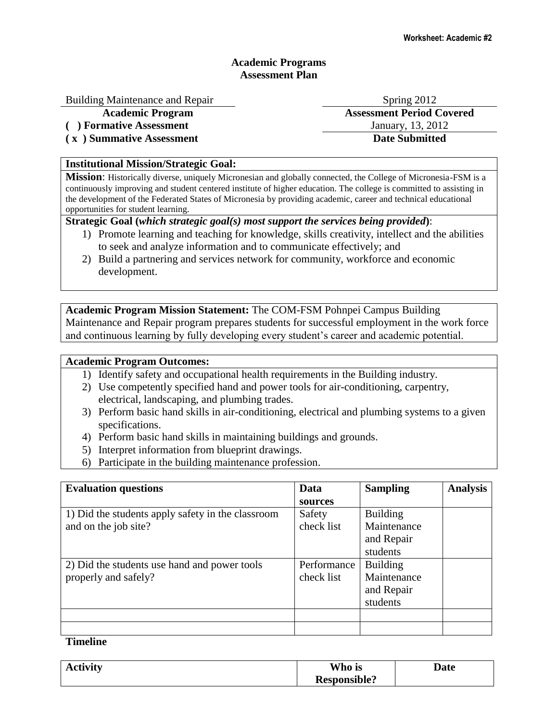# **Academic Programs Assessment Plan**

#### Building Maintenance and Repair Spring 2012

**( ) Formative Assessment** January, 13, 2012

**( x ) Summative Assessment Date Submitted**

### **Institutional Mission/Strategic Goal:**

**Mission**: Historically diverse, uniquely Micronesian and globally connected, the College of Micronesia-FSM is a continuously improving and student centered institute of higher education. The college is committed to assisting in the development of the Federated States of Micronesia by providing academic, career and technical educational opportunities for student learning.

# **Strategic Goal (***which strategic goal(s) most support the services being provided***)**:

- 1) Promote learning and teaching for knowledge, skills creativity, intellect and the abilities to seek and analyze information and to communicate effectively; and
- 2) Build a partnering and services network for community, workforce and economic development.

**Academic Program Mission Statement:** The COM-FSM Pohnpei Campus Building Maintenance and Repair program prepares students for successful employment in the work force and continuous learning by fully developing every student's career and academic potential.

#### **Academic Program Outcomes:**

- 1) Identify safety and occupational health requirements in the Building industry.
- 2) Use competently specified hand and power tools for air-conditioning, carpentry, electrical, landscaping, and plumbing trades.
- 3) Perform basic hand skills in air-conditioning, electrical and plumbing systems to a given specifications.
- 4) Perform basic hand skills in maintaining buildings and grounds.
- 5) Interpret information from blueprint drawings.
- 6) Participate in the building maintenance profession.

| <b>Evaluation questions</b>                       | Data        | <b>Sampling</b> | <b>Analysis</b> |
|---------------------------------------------------|-------------|-----------------|-----------------|
|                                                   | sources     |                 |                 |
| 1) Did the students apply safety in the classroom | Safety      | <b>Building</b> |                 |
| and on the job site?                              | check list  | Maintenance     |                 |
|                                                   |             | and Repair      |                 |
|                                                   |             | students        |                 |
| 2) Did the students use hand and power tools      | Performance | <b>Building</b> |                 |
| properly and safely?                              | check list  | Maintenance     |                 |
|                                                   |             | and Repair      |                 |
|                                                   |             | students        |                 |
|                                                   |             |                 |                 |
|                                                   |             |                 |                 |

**Timeline**

| <b>Activity</b> | Who is              | <b>Date</b> |
|-----------------|---------------------|-------------|
|                 | <b>Responsible?</b> |             |

**Academic Program Assessment Period Covered**